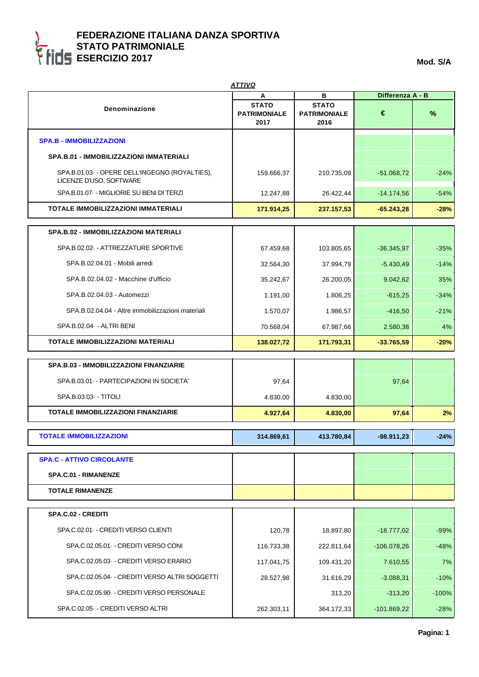| <b>ATTIVO</b>                                                            |                                     |                                     |                  |         |
|--------------------------------------------------------------------------|-------------------------------------|-------------------------------------|------------------|---------|
|                                                                          | Α                                   | в                                   | Differenza A - B |         |
| <b>Denominazione</b>                                                     | <b>STATO</b><br><b>PATRIMONIALE</b> | <b>STATO</b><br><b>PATRIMONIALE</b> | €                | $\%$    |
|                                                                          | 2017                                | 2016                                |                  |         |
| <b>SPA.B - IMMOBILIZZAZIONI</b>                                          |                                     |                                     |                  |         |
| SPA.B.01 - IMMOBILIZZAZIONI IMMATERIALI                                  |                                     |                                     |                  |         |
| SPA.B.01.03 - OPERE DELL'INGEGNO (ROYALTIES),<br>LICENZE D'USO, SOFTWARE | 159.666,37                          | 210.735,09                          | $-51.068,72$     | $-24%$  |
| SPA.B.01.07 - MIGLIORIE SU BENI DI TERZI                                 | 12.247,88                           | 26.422,44                           | $-14.174,56$     | $-54%$  |
| TOTALE IMMOBILIZZAZIONI IMMATERIALI                                      | 171.914,25                          | 237.157,53                          | $-65.243,28$     | $-28%$  |
| <b>SPA.B.02 - IMMOBILIZZAZIONI MATERIALI</b>                             |                                     |                                     |                  |         |
| SPA.B.02.02 - ATTREZZATURE SPORTIVE                                      | 67.459,68                           | 103.805,65                          | $-36.345,97$     | $-35%$  |
| SPA.B.02.04.01 - Mobili arredi                                           |                                     |                                     |                  |         |
|                                                                          | 32.564,30                           | 37.994,79                           | $-5.430,49$      | $-14%$  |
| SPA.B.02.04.02 - Macchine d'ufficio                                      | 35.242,67                           | 26.200,05                           | 9.042,62         | 35%     |
| SPA.B.02.04.03 - Automezzi                                               | 1.191,00                            | 1.806,25                            | $-615,25$        | $-34%$  |
| SPA.B.02.04.04 - Altre immobilizzazioni materiali                        | 1.570,07                            | 1.986,57                            | $-416,50$        | $-21%$  |
| SPA.B.02.04 - ALTRI BENI                                                 | 70.568,04                           | 67.987,66                           | 2.580,38         | 4%      |
| <b>TOTALE IMMOBILIZZAZIONI MATERIALI</b>                                 | 138.027,72                          | 171.793,31                          | $-33.765,59$     | $-20%$  |
| SPA.B.03 - IMMOBILIZZAZIONI FINANZIARIE                                  |                                     |                                     |                  |         |
| SPA.B.03.01 - PARTECIPAZIONI IN SOCIETA'                                 | 97,64                               |                                     | 97,64            |         |
| SPA.B.03.03 - TITOLI                                                     | 4.830,00                            | 4.830,00                            |                  |         |
| <b>TOTALE IMMOBILIZZAZIONI FINANZIARIE</b>                               | 4.927,64                            | 4.830,00                            | 97,64            | 2%      |
|                                                                          |                                     |                                     |                  |         |
| <b>TOTALE IMMOBILIZZAZIONI</b>                                           | 314.869,61                          | 413.780,84                          | -98.911,23       | $-24%$  |
| <b>SPA.C - ATTIVO CIRCOLANTE</b>                                         |                                     |                                     |                  |         |
| <b>SPA.C.01 - RIMANENZE</b>                                              |                                     |                                     |                  |         |
| <b>TOTALE RIMANENZE</b>                                                  |                                     |                                     |                  |         |
| SPA.C.02 - CREDITI                                                       |                                     |                                     |                  |         |
| SPA.C.02.01 - CREDITI VERSO CLIENTI                                      | 120,78                              |                                     |                  | $-99%$  |
|                                                                          |                                     | 18.897,80                           | $-18.777,02$     |         |
| SPA.C.02.05.01 - CREDITI VERSO CONI                                      | 116.733,38                          | 222.811,64                          | $-106.078,26$    | $-48%$  |
| SPA.C.02.05.03 - CREDITI VERSO ERARIO                                    | 117.041,75                          | 109.431,20                          | 7.610,55         | 7%      |
| SPA.C.02.05.04 - CREDITI VERSO ALTRI SOGGETTI                            | 28.527,98                           | 31.616,29                           | $-3.088,31$      | $-10%$  |
| SPA.C.02.05.90 - CREDITI VERSO PERSONALE                                 |                                     | 313,20                              | $-313,20$        | $-100%$ |
| SPA.C.02.05 - CREDITI VERSO ALTRI                                        | 262.303,11                          | 364.172,33                          | $-101.869,22$    | $-28%$  |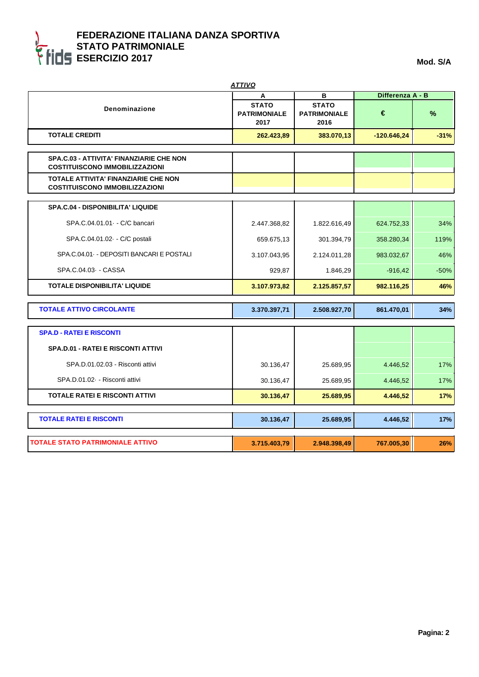|                                                                                   | A                                           | в                                           | Differenza A - B |        |
|-----------------------------------------------------------------------------------|---------------------------------------------|---------------------------------------------|------------------|--------|
| <b>Denominazione</b>                                                              | <b>STATO</b><br><b>PATRIMONIALE</b><br>2017 | <b>STATO</b><br><b>PATRIMONIALE</b><br>2016 | €                | %      |
| <b>TOTALE CREDITI</b>                                                             | 262.423,89                                  | 383.070,13                                  | $-120.646,24$    | $-31%$ |
| SPA.C.03 - ATTIVITA' FINANZIARIE CHE NON<br><b>COSTITUISCONO IMMOBILIZZAZIONI</b> |                                             |                                             |                  |        |
| TOTALE ATTIVITA' FINANZIARIE CHE NON<br><b>COSTITUISCONO IMMOBILIZZAZIONI</b>     |                                             |                                             |                  |        |
| SPA.C.04 - DISPONIBILITA' LIQUIDE                                                 |                                             |                                             |                  |        |
| SPA.C.04.01.01 - C/C bancari                                                      | 2.447.368,82                                | 1.822.616,49                                | 624.752,33       | 34%    |
| SPA.C.04.01.02 - C/C postali                                                      | 659.675,13                                  | 301.394,79                                  | 358.280,34       | 119%   |
| SPA.C.04.01 - DEPOSITI BANCARI E POSTALI                                          | 3.107.043,95                                | 2.124.011,28                                | 983.032,67       | 46%    |
| SPA.C.04.03 - CASSA                                                               | 929,87                                      | 1.846,29                                    | $-916,42$        | $-50%$ |
| <b>TOTALE DISPONIBILITA' LIQUIDE</b>                                              | 3.107.973,82                                | 2.125.857,57                                | 982.116,25       | 46%    |
| <b>TOTALE ATTIVO CIRCOLANTE</b>                                                   | 3.370.397,71                                | 2.508.927,70                                | 861.470,01       | 34%    |
| <b>SPA.D - RATEI E RISCONTI</b>                                                   |                                             |                                             |                  |        |
| <b>SPA.D.01 - RATEI E RISCONTI ATTIVI</b>                                         |                                             |                                             |                  |        |
| SPA.D.01.02.03 - Risconti attivi                                                  | 30.136,47                                   | 25.689,95                                   | 4.446,52         | 17%    |
| SPA.D.01.02 - Risconti attivi                                                     | 30.136,47                                   | 25.689,95                                   | 4.446,52         | 17%    |
| <b>TOTALE RATEI E RISCONTI ATTIVI</b>                                             | 30.136,47                                   | 25.689,95                                   | 4.446,52         | 17%    |
| <b>TOTALE RATEI E RISCONTI</b>                                                    | 30.136,47                                   | 25.689,95                                   | 4.446,52         | 17%    |
|                                                                                   |                                             |                                             |                  |        |
| <b>TOTALE STATO PATRIMONIALE ATTIVO</b>                                           | 3.715.403,79                                | 2.948.398,49                                | 767.005,30       | 26%    |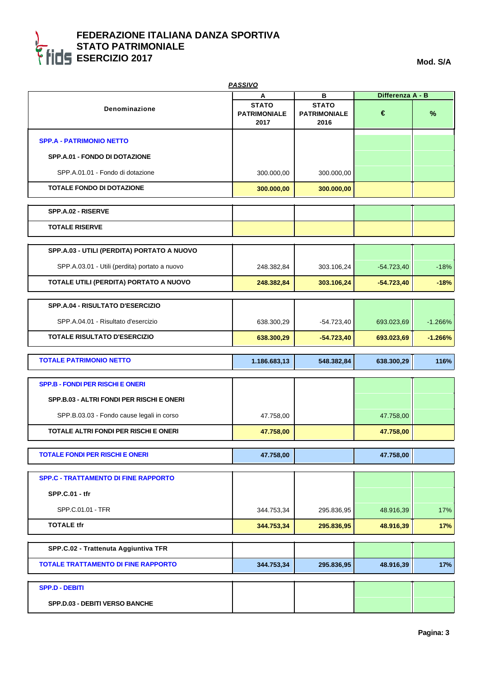|                                               | <b>PASSIVO</b>                              |                                             |                  |               |
|-----------------------------------------------|---------------------------------------------|---------------------------------------------|------------------|---------------|
|                                               | A                                           | в                                           | Differenza A - B |               |
| Denominazione                                 | <b>STATO</b><br><b>PATRIMONIALE</b><br>2017 | <b>STATO</b><br><b>PATRIMONIALE</b><br>2016 | €                | $\frac{9}{6}$ |
| <b>SPP.A - PATRIMONIO NETTO</b>               |                                             |                                             |                  |               |
| SPP.A.01 - FONDO DI DOTAZIONE                 |                                             |                                             |                  |               |
| SPP.A.01.01 - Fondo di dotazione              | 300.000,00                                  | 300.000,00                                  |                  |               |
| <b>TOTALE FONDO DI DOTAZIONE</b>              | 300.000,00                                  | 300.000,00                                  |                  |               |
| SPP.A.02 - RISERVE                            |                                             |                                             |                  |               |
| <b>TOTALE RISERVE</b>                         |                                             |                                             |                  |               |
| SPP.A.03 - UTILI (PERDITA) PORTATO A NUOVO    |                                             |                                             |                  |               |
| SPP.A.03.01 - Utili (perdita) portato a nuovo | 248.382,84                                  | 303.106,24                                  | $-54.723,40$     | $-18%$        |
| TOTALE UTILI (PERDITA) PORTATO A NUOVO        | 248.382,84                                  | 303.106,24                                  | $-54.723,40$     | $-18%$        |
| <b>SPP.A.04 - RISULTATO D'ESERCIZIO</b>       |                                             |                                             |                  |               |
| SPP.A.04.01 - Risultato d'esercizio           | 638.300,29                                  | $-54.723,40$                                | 693.023,69       | $-1.266%$     |
| <b>TOTALE RISULTATO D'ESERCIZIO</b>           | 638.300,29                                  | $-54.723,40$                                | 693.023,69       | $-1.266%$     |
|                                               |                                             |                                             |                  |               |
| <b>TOTALE PATRIMONIO NETTO</b>                | 1.186.683,13                                | 548.382,84                                  | 638.300,29       | 116%          |
| <b>SPP.B - FONDI PER RISCHI E ONERI</b>       |                                             |                                             |                  |               |
| SPP.B.03 - ALTRI FONDI PER RISCHI E ONERI     |                                             |                                             |                  |               |
| SPP.B.03.03 - Fondo cause legali in corso     | 47.758,00                                   |                                             | 47.758,00        |               |
| TOTALE ALTRI FONDI PER RISCHI E ONERI         | 47.758,00                                   |                                             | 47.758,00        |               |
| <b>TOTALE FONDI PER RISCHI E ONERI</b>        | 47.758,00                                   |                                             | 47.758,00        |               |
| <b>SPP.C - TRATTAMENTO DI FINE RAPPORTO</b>   |                                             |                                             |                  |               |
| <b>SPP.C.01 - tfr</b>                         |                                             |                                             |                  |               |
| SPP.C.01.01 - TFR                             | 344.753,34                                  | 295.836,95                                  | 48.916,39        | 17%           |
| <b>TOTALE tfr</b>                             | 344.753,34                                  | 295.836,95                                  | 48.916,39        | 17%           |
| SPP.C.02 - Trattenuta Aggiuntiva TFR          |                                             |                                             |                  |               |
| <b>TOTALE TRATTAMENTO DI FINE RAPPORTO</b>    | 344.753,34                                  | 295.836,95                                  | 48.916,39        | 17%           |
| <b>SPP.D - DEBITI</b>                         |                                             |                                             |                  |               |
| SPP.D.03 - DEBITI VERSO BANCHE                |                                             |                                             |                  |               |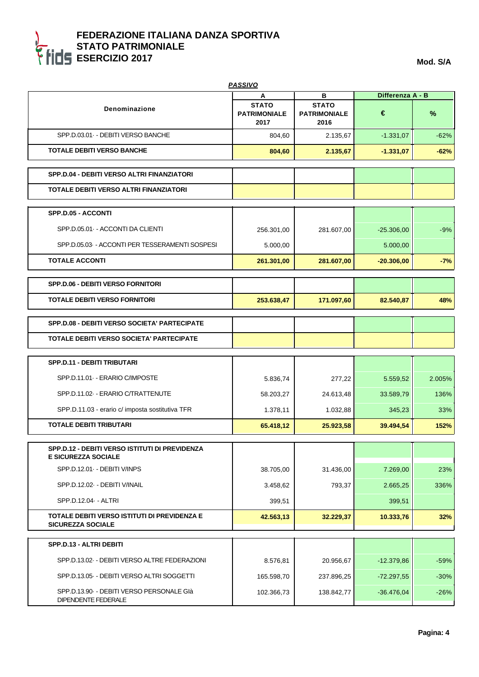| <b>PASSIVO</b>                                                           |                                             |                                             |                  |        |
|--------------------------------------------------------------------------|---------------------------------------------|---------------------------------------------|------------------|--------|
|                                                                          | А                                           | в                                           | Differenza A - B |        |
| Denominazione                                                            | <b>STATO</b><br><b>PATRIMONIALE</b><br>2017 | <b>STATO</b><br><b>PATRIMONIALE</b><br>2016 | €                | %      |
| SPP.D.03.01 - DEBITI VERSO BANCHE                                        | 804,60                                      | 2.135,67                                    | $-1.331,07$      | $-62%$ |
| <b>TOTALE DEBITI VERSO BANCHE</b>                                        | 804,60                                      | 2.135,67                                    | $-1.331,07$      | $-62%$ |
| SPP.D.04 - DEBITI VERSO ALTRI FINANZIATORI                               |                                             |                                             |                  |        |
| TOTALE DEBITI VERSO ALTRI FINANZIATORI                                   |                                             |                                             |                  |        |
| SPP.D.05 - ACCONTI                                                       |                                             |                                             |                  |        |
| SPP.D.05.01 - ACCONTI DA CLIENTI                                         | 256.301,00                                  | 281.607,00                                  | $-25.306,00$     | $-9%$  |
| SPP.D.05.03 - ACCONTI PER TESSERAMENTI SOSPESI                           | 5.000,00                                    |                                             | 5.000,00         |        |
| <b>TOTALE ACCONTI</b>                                                    | 261.301,00                                  | 281.607,00                                  | $-20.306,00$     | $-7%$  |
| <b>SPP.D.06 - DEBITI VERSO FORNITORI</b>                                 |                                             |                                             |                  |        |
| <b>TOTALE DEBITI VERSO FORNITORI</b>                                     | 253.638,47                                  | 171.097,60                                  | 82.540,87        | 48%    |
| <b>SPP.D.08 - DEBITI VERSO SOCIETA' PARTECIPATE</b>                      |                                             |                                             |                  |        |
| <b>TOTALE DEBITI VERSO SOCIETA' PARTECIPATE</b>                          |                                             |                                             |                  |        |
| SPP.D.11 - DEBITI TRIBUTARI                                              |                                             |                                             |                  |        |
| SPP.D.11.01 - ERARIO C/IMPOSTE                                           | 5.836,74                                    | 277,22                                      | 5.559,52         | 2.005% |
| SPP.D.11.02 - ERARIO C/TRATTENUTE                                        | 58.203,27                                   | 24.613,48                                   | 33.589,79        | 136%   |
| SPP.D.11.03 - erario c/ imposta sostitutiva TFR                          | 1.378,11                                    | 1.032,88                                    | 345,23           | 33%    |
| <b>TOTALE DEBITI TRIBUTARI</b>                                           | 65.418,12                                   | 25.923,58                                   | 39.494,54        | 152%   |
| SPP.D.12 - DEBITI VERSO ISTITUTI DI PREVIDENZA                           |                                             |                                             |                  |        |
| <b>E SICUREZZA SOCIALE</b>                                               |                                             |                                             |                  |        |
| SPP.D.12.01 - DEBITI V/INPS                                              | 38.705,00                                   | 31.436,00                                   | 7.269,00         | 23%    |
| SPP.D.12.02 - DEBITI V/INAIL                                             | 3.458,62                                    | 793,37                                      | 2.665,25         | 336%   |
| SPP.D.12.04 - ALTRI                                                      | 399,51                                      |                                             | 399,51           |        |
| TOTALE DEBITI VERSO ISTITUTI DI PREVIDENZA E<br><b>SICUREZZA SOCIALE</b> | 42.563,13                                   | 32.229,37                                   | 10.333,76        | 32%    |
| SPP.D.13 - ALTRI DEBITI                                                  |                                             |                                             |                  |        |
| SPP.D.13.02 - DEBITI VERSO ALTRE FEDERAZIONI                             | 8.576,81                                    | 20.956,67                                   | $-12.379,86$     | $-59%$ |
| SPP.D.13.05 - DEBITI VERSO ALTRI SOGGETTI                                | 165.598,70                                  | 237.896,25                                  | $-72.297,55$     | $-30%$ |
| SPP.D.13.90 - DEBITI VERSO PERSONALE GIà<br>DIPENDENTE FEDERALE          | 102.366,73                                  | 138.842,77                                  | $-36.476,04$     | $-26%$ |